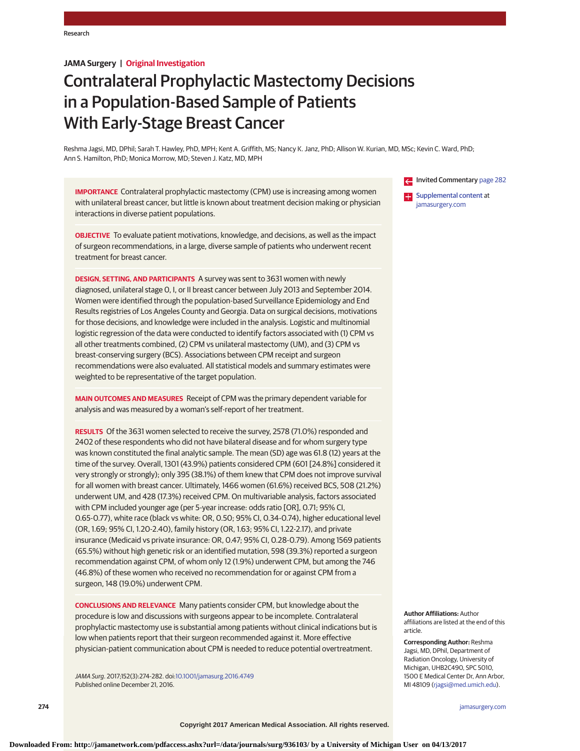# **JAMA Surgery | Original Investigation**

# Contralateral Prophylactic Mastectomy Decisions in a Population-Based Sample of Patients With Early-Stage Breast Cancer

Reshma Jagsi, MD, DPhil; Sarah T. Hawley, PhD, MPH; Kent A. Griffith, MS; Nancy K. Janz, PhD; Allison W. Kurian, MD, MSc; Kevin C. Ward, PhD; Ann S. Hamilton, PhD; Monica Morrow, MD; Steven J. Katz, MD, MPH

**IMPORTANCE** Contralateral prophylactic mastectomy (CPM) use is increasing among women with unilateral breast cancer, but little is known about treatment decision making or physician interactions in diverse patient populations.

**OBJECTIVE** To evaluate patient motivations, knowledge, and decisions, as well as the impact of surgeon recommendations, in a large, diverse sample of patients who underwent recent treatment for breast cancer.

**DESIGN, SETTING, AND PARTICIPANTS** A survey was sent to 3631 women with newly diagnosed, unilateral stage 0, I, or II breast cancer between July 2013 and September 2014. Women were identified through the population-based Surveillance Epidemiology and End Results registries of Los Angeles County and Georgia. Data on surgical decisions, motivations for those decisions, and knowledge were included in the analysis. Logistic and multinomial logistic regression of the data were conducted to identify factors associated with (1) CPM vs all other treatments combined, (2) CPM vs unilateral mastectomy (UM), and (3) CPM vs breast-conserving surgery (BCS). Associations between CPM receipt and surgeon recommendations were also evaluated. All statistical models and summary estimates were weighted to be representative of the target population.

**MAIN OUTCOMES AND MEASURES** Receipt of CPM was the primary dependent variable for analysis and was measured by a woman's self-report of her treatment.

**RESULTS** Of the 3631 women selected to receive the survey, 2578 (71.0%) responded and 2402 of these respondents who did not have bilateral disease and for whom surgery type was known constituted the final analytic sample. The mean (SD) age was 61.8 (12) years at the time of the survey. Overall, 1301 (43.9%) patients considered CPM (601 [24.8%] considered it very strongly or strongly); only 395 (38.1%) of them knew that CPM does not improve survival for all women with breast cancer. Ultimately, 1466 women (61.6%) received BCS, 508 (21.2%) underwent UM, and 428 (17.3%) received CPM. On multivariable analysis, factors associated with CPM included younger age (per 5-year increase: odds ratio [OR], 0.71; 95% CI, 0.65-0.77), white race (black vs white: OR, 0.50; 95% CI, 0.34-0.74), higher educational level (OR, 1.69; 95% CI, 1.20-2.40), family history (OR, 1.63; 95% CI, 1.22-2.17), and private insurance (Medicaid vs private insurance: OR, 0.47; 95% CI, 0.28-0.79). Among 1569 patients (65.5%) without high genetic risk or an identified mutation, 598 (39.3%) reported a surgeon recommendation against CPM, of whom only 12 (1.9%) underwent CPM, but among the 746 (46.8%) of these women who received no recommendation for or against CPM from a surgeon, 148 (19.0%) underwent CPM.

**CONCLUSIONS AND RELEVANCE** Many patients consider CPM, but knowledge about the procedure is low and discussions with surgeons appear to be incomplete. Contralateral prophylactic mastectomy use is substantial among patients without clinical indications but is low when patients report that their surgeon recommended against it. More effective physician-patient communication about CPM is needed to reduce potential overtreatment.

JAMA Surg. 2017;152(3):274-282. doi[:10.1001/jamasurg.2016.4749](http://jama.jamanetwork.com/article.aspx?doi=10.1001/jamasurg.2016.4749&utm_campaign=articlePDF%26utm_medium=articlePDFlink%26utm_source=articlePDF%26utm_content=jamasurg.2016.4749) Published online December 21, 2016.

**Invited Commentary [page 282](http://jama.jamanetwork.com/article.aspx?doi=10.1001/jamasurg.2016.4750&utm_campaign=articlePDF%26utm_medium=articlePDFlink%26utm_source=articlePDF%26utm_content=jamasurg.2016.4749)** 

[Supplemental content](http://jama.jamanetwork.com/article.aspx?doi=10.1001/jamasurg.2016.4749&utm_campaign=articlePDF%26utm_medium=articlePDFlink%26utm_source=articlePDF%26utm_content=jamasurg.2016.4749) at [jamasurgery.com](http://www.jamasurgery.com/?utm_campaign=articlePDF%26utm_medium=articlePDFlink%26utm_source=articlePDF%26utm_content=jamasurg.2016.4749)

**Author Affiliations:** Author affiliations are listed at the end of this article.

**Corresponding Author:** Reshma Jagsi, MD, DPhil, Department of Radiation Oncology, University of Michigan, UHB2C490, SPC 5010, 1500 E Medical Center Dr, Ann Arbor, MI 48109 [\(rjagsi@med.umich.edu\)](mailto:rjagsi@med.umich.edu).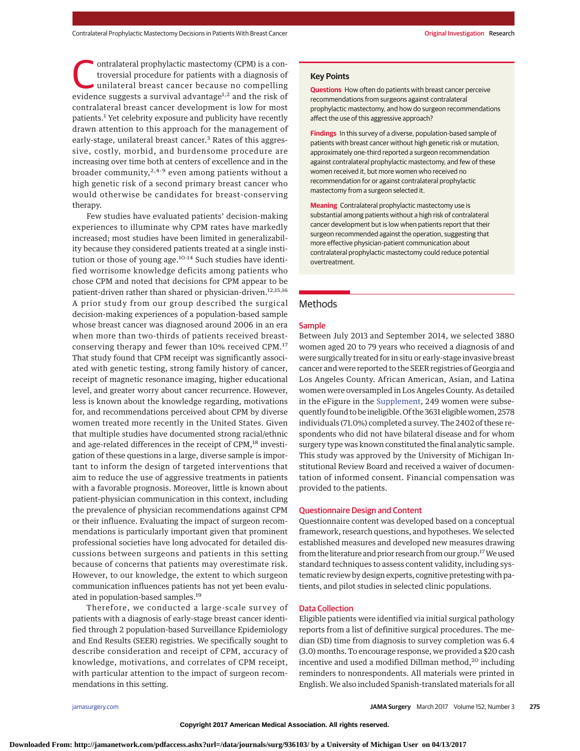ontralateral prophylactic mastectomy (CPM) is a con-<br>troversial procedure for patients with a diagnosis of<br>unilateral breast cancer because no compelling<br>avidance suggests a survival advantagelie and the risk of troversial procedure for patients with a diagnosis of evidence suggests a survival advantage $1,2$  and the risk of contralateral breast cancer development is low for most patients.<sup>1</sup> Yet celebrity exposure and publicity have recently drawn attention to this approach for the management of early-stage, unilateral breast cancer.<sup>3</sup> Rates of this aggressive, costly, morbid, and burdensome procedure are increasing over time both at centers of excellence and in the broader community, $2,4-9$  even among patients without a high genetic risk of a second primary breast cancer who would otherwise be candidates for breast-conserving therapy.

Few studies have evaluated patients' decision-making experiences to illuminate why CPM rates have markedly increased; most studies have been limited in generalizability because they considered patients treated at a single institution or those of young age.<sup>10-14</sup> Such studies have identified worrisome knowledge deficits among patients who chose CPM and noted that decisions for CPM appear to be patient-driven rather than shared or physician-driven.12,15,16 A prior study from our group described the surgical decision-making experiences of a population-based sample whose breast cancer was diagnosed around 2006 in an era when more than two-thirds of patients received breastconserving therapy and fewer than 10% received CPM.<sup>17</sup> That study found that CPM receipt was significantly associated with genetic testing, strong family history of cancer, receipt of magnetic resonance imaging, higher educational level, and greater worry about cancer recurrence. However, less is known about the knowledge regarding, motivations for, and recommendations perceived about CPM by diverse women treated more recently in the United States. Given that multiple studies have documented strong racial/ethnic and age-related differences in the receipt of CPM,<sup>18</sup> investigation of these questions in a large, diverse sample is important to inform the design of targeted interventions that aim to reduce the use of aggressive treatments in patients with a favorable prognosis. Moreover, little is known about patient-physician communication in this context, including the prevalence of physician recommendations against CPM or their influence. Evaluating the impact of surgeon recommendations is particularly important given that prominent professional societies have long advocated for detailed discussions between surgeons and patients in this setting because of concerns that patients may overestimate risk. However, to our knowledge, the extent to which surgeon communication influences patients has not yet been evaluated in population-based samples.<sup>19</sup>

Therefore, we conducted a large-scale survey of patients with a diagnosis of early-stage breast cancer identified through 2 population-based Surveillance Epidemiology and End Results (SEER) registries. We specifically sought to describe consideration and receipt of CPM, accuracy of knowledge, motivations, and correlates of CPM receipt, with particular attention to the impact of surgeon recommendations in this setting.

#### **Key Points**

**Questions** How often do patients with breast cancer perceive recommendations from surgeons against contralateral prophylactic mastectomy, and how do surgeon recommendations affect the use of this aggressive approach?

**Findings** In this survey of a diverse, population-based sample of patients with breast cancer without high genetic risk or mutation, approximately one-third reported a surgeon recommendation against contralateral prophylactic mastectomy, and few of these women received it, but more women who received no recommendation for or against contralateral prophylactic mastectomy from a surgeon selected it.

**Meaning** Contralateral prophylactic mastectomy use is substantial among patients without a high risk of contralateral cancer development but is low when patients report that their surgeon recommended against the operation, suggesting that more effective physician-patient communication about contralateral prophylactic mastectomy could reduce potential overtreatment.

# Methods

#### **Sample**

Between July 2013 and September 2014, we selected 3880 women aged 20 to 79 years who received a diagnosis of and were surgically treated for in situ or early-stage invasive breast cancer and were reported to the SEER registries of Georgia and Los Angeles County. African American, Asian, and Latina women were oversampled in Los Angeles County. As detailed in the eFigure in the [Supplement,](http://jama.jamanetwork.com/article.aspx?doi=10.1001/jamasurg.2016.4749&utm_campaign=articlePDF%26utm_medium=articlePDFlink%26utm_source=articlePDF%26utm_content=jamasurg.2016.4749) 249 women were subsequently found to be ineligible. Of the 3631 eligible women, 2578 individuals (71.0%) completed a survey. The 2402 of these respondents who did not have bilateral disease and for whom surgery type was known constituted the final analytic sample. This study was approved by the University of Michigan Institutional Review Board and received a waiver of documentation of informed consent. Financial compensation was provided to the patients.

## Questionnaire Design and Content

Questionnaire content was developed based on a conceptual framework, research questions, and hypotheses. We selected established measures and developed new measures drawing from the literature and prior research from our group.<sup>17</sup> We used standard techniques to assess content validity, including systematic review by design experts, cognitive pretesting with patients, and pilot studies in selected clinic populations.

## Data Collection

Eligible patients were identified via initial surgical pathology reports from a list of definitive surgical procedures. The median (SD) time from diagnosis to survey completion was 6.4 (3.0) months. To encourage response, we provided a \$20 cash incentive and used a modified Dillman method,<sup>20</sup> including reminders to nonrespondents. All materials were printed in English. We also included Spanish-translated materials for all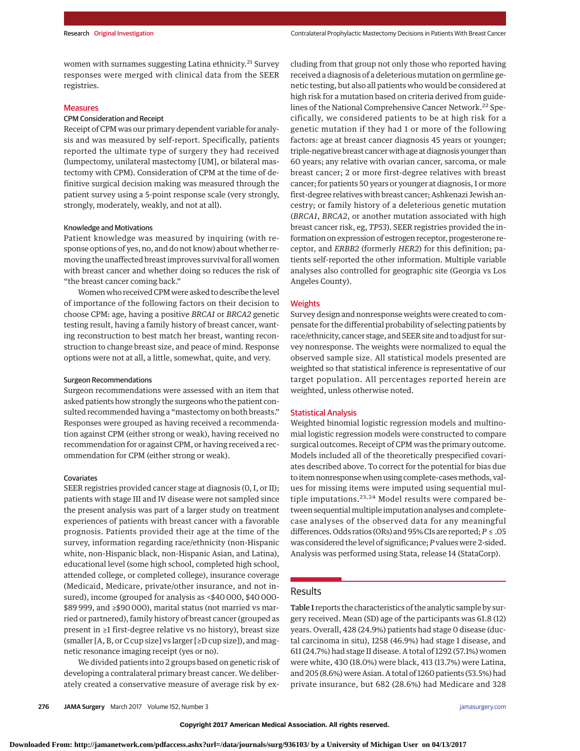women with surnames suggesting Latina ethnicity.<sup>21</sup> Survey responses were merged with clinical data from the SEER registries.

## **Measures**

## CPM Consideration and Receipt

Receipt of CPM was our primary dependent variable for analysis and was measured by self-report. Specifically, patients reported the ultimate type of surgery they had received (lumpectomy, unilateral mastectomy [UM], or bilateral mastectomy with CPM). Consideration of CPM at the time of definitive surgical decision making was measured through the patient survey using a 5-point response scale (very strongly, strongly, moderately, weakly, and not at all).

### Knowledge and Motivations

Patient knowledge was measured by inquiring (with response options of yes, no, and do not know) about whether removing the unaffected breast improves survival for all women with breast cancer and whether doing so reduces the risk of "the breast cancer coming back."

Women who received CPM were asked to describe the level of importance of the following factors on their decision to choose CPM: age, having a positive *BRCA1* or *BRCA2* genetic testing result, having a family history of breast cancer, wanting reconstruction to best match her breast, wanting reconstruction to change breast size, and peace of mind. Response options were not at all, a little, somewhat, quite, and very.

#### Surgeon Recommendations

Surgeon recommendations were assessed with an item that asked patients how strongly the surgeons who the patient consulted recommended having a "mastectomy on both breasts." Responses were grouped as having received a recommendation against CPM (either strong or weak), having received no recommendation for or against CPM, or having received a recommendation for CPM (either strong or weak).

### Covariates

SEER registries provided cancer stage at diagnosis (0, I, or II); patients with stage III and IV disease were not sampled since the present analysis was part of a larger study on treatment experiences of patients with breast cancer with a favorable prognosis. Patients provided their age at the time of the survey, information regarding race/ethnicity (non-Hispanic white, non-Hispanic black, non-Hispanic Asian, and Latina), educational level (some high school, completed high school, attended college, or completed college), insurance coverage (Medicaid, Medicare, private/other insurance, and not insured), income (grouped for analysis as <\$40 000, \$40 000-\$89 999, and ≥\$90 000), marital status (not married vs married or partnered), family history of breast cancer (grouped as present in ≥1 first-degree relative vs no history), breast size (smaller [A, B, or C cup size] vs larger [≥D cup size]), and magnetic resonance imaging receipt (yes or no).

We divided patients into 2 groups based on genetic risk of developing a contralateral primary breast cancer. We deliberately created a conservative measure of average risk by excluding from that group not only those who reported having received a diagnosis of a deleterious mutation on germline genetic testing, but also all patients who would be considered at high risk for a mutation based on criteria derived from guidelines of the National Comprehensive Cancer Network.<sup>22</sup> Specifically, we considered patients to be at high risk for a genetic mutation if they had 1 or more of the following factors: age at breast cancer diagnosis 45 years or younger; triple-negative breast cancerwith age at diagnosis younger than 60 years; any relative with ovarian cancer, sarcoma, or male breast cancer; 2 or more first-degree relatives with breast cancer; for patients 50 years or younger at diagnosis, 1 or more first-degree relatives with breast cancer; Ashkenazi Jewish ancestry; or family history of a deleterious genetic mutation (*BRCA1*, *BRCA2*, or another mutation associated with high breast cancer risk, eg, *TP53*). SEER registries provided the information on expression of estrogen receptor, progesterone receptor, and *ERBB2* (formerly *HER2*) for this definition; patients self-reported the other information. Multiple variable analyses also controlled for geographic site (Georgia vs Los Angeles County).

### Weights

Survey design and nonresponse weights were created to compensate for the differential probability of selecting patients by race/ethnicity, cancer stage, and SEER site and to adjust for survey nonresponse. The weights were normalized to equal the observed sample size. All statistical models presented are weighted so that statistical inference is representative of our target population. All percentages reported herein are weighted, unless otherwise noted.

#### Statistical Analysis

Weighted binomial logistic regression models and multinomial logistic regression models were constructed to compare surgical outcomes. Receipt of CPM was the primary outcome. Models included all of the theoretically prespecified covariates described above. To correct for the potential for bias due to item nonresponse when using complete-casesmethods, values for missing items were imputed using sequential multiple imputations.<sup>23,24</sup> Model results were compared between sequential multiple imputation analyses and completecase analyses of the observed data for any meaningful differences. Odds ratios (ORs) and 95% CIs are reported;*P* ≤ .05 was considered the level of significance;*P*values were 2-sided. Analysis was performed using Stata, release 14 (StataCorp).

#### Results

Table 1 reports the characteristics of the analytic sample by surgery received. Mean (SD) age of the participants was 61.8 (12) years. Overall, 428 (24.9%) patients had stage 0 disease (ductal carcinoma in situ), 1258 (46.9%) had stage I disease, and 611 (24.7%) had stage II disease. A total of 1292 (57.1%) women were white, 430 (18.0%) were black, 413 (13.7%) were Latina, and 205 (8.6%) were Asian. A total of 1260 patients (53.5%) had private insurance, but 682 (28.6%) had Medicare and 328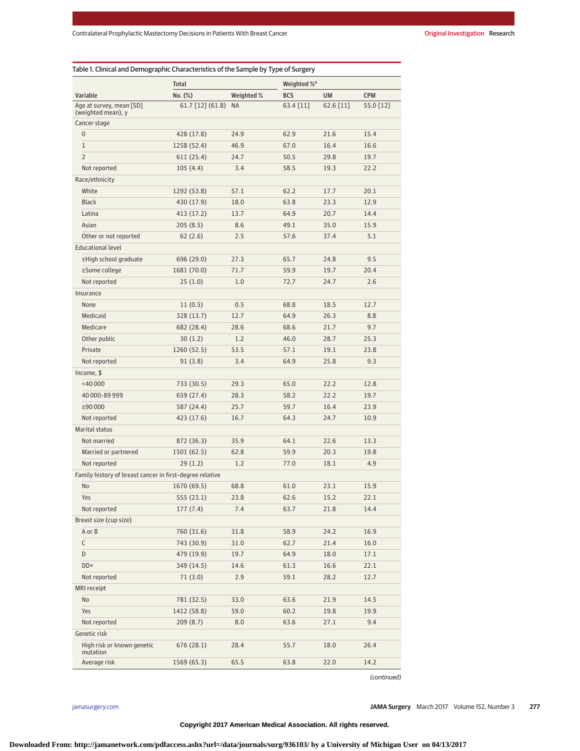|  | Table 1. Clinical and Demographic Characteristics of the Sample by Type of Surgery |  |  |
|--|------------------------------------------------------------------------------------|--|--|

|                                                          | <b>Total</b>         |              | Weighted % <sup>a</sup> |           |            |  |
|----------------------------------------------------------|----------------------|--------------|-------------------------|-----------|------------|--|
| Variable                                                 | No. (%)              | Weighted %   | <b>BCS</b>              | <b>UM</b> | <b>CPM</b> |  |
| Age at survey, mean [SD]<br>(weighted mean), y           | $61.7$ [12] $(61.8)$ | <b>NA</b>    | 63.4 [11]               | 62.6 [11] | 55.0 [12]  |  |
| Cancer stage                                             |                      |              |                         |           |            |  |
| $\pmb{0}$                                                | 428 (17.8)           | 24.9         | 62.9                    | 21.6      | 15.4       |  |
| $\mathbf{1}$                                             | 1258 (52.4)          | 46.9         | 67.0                    | 16.4      | 16.6       |  |
| $\overline{2}$                                           | 611 (25.4)           | 24.7         | 50.5                    | 29.8      | 19.7       |  |
| Not reported                                             | 105(4.4)             | 3.4          | 58.5                    | 19.3      | 22.2       |  |
| Race/ethnicity                                           |                      |              |                         |           |            |  |
| White                                                    | 1292 (53.8)          | 57.1         | 62.2                    | 17.7      | 20.1       |  |
| <b>Black</b>                                             | 430 (17.9)           | 18.0         | 63.8                    | 23.3      | 12.9       |  |
| Latina                                                   | 413 (17.2)           | 13.7         | 64.9                    | 20.7      | 14.4       |  |
| Asian                                                    | 205(8.5)             | 8.6          | 49.1                    | 35.0      | 15.9       |  |
| Other or not reported                                    | 62(2.6)              | 2.5          | 57.6                    | 37.4      | 5.1        |  |
| <b>Educational level</b>                                 |                      |              |                         |           |            |  |
| ≤High school graduate                                    | 696 (29.0)           | 27.3         | 65.7                    | 24.8      | 9.5        |  |
| ≥Some college                                            | 1681 (70.0)          | 71.7         | 59.9                    | 19.7      | 20.4       |  |
| Not reported                                             | 25(1.0)              | 1.0          | 72.7                    | 24.7      | 2.6        |  |
| Insurance                                                |                      |              |                         |           |            |  |
| None                                                     | 11(0.5)              | 0.5          | 68.8                    | 18.5      | 12.7       |  |
| Medicaid                                                 | 328 (13.7)           | 12.7<br>64.9 |                         | 26.3      | 8.8        |  |
| Medicare                                                 | 682 (28.4)           | 28.6         | 68.6                    | 21.7      | 9.7        |  |
| Other public                                             | 30(1.2)              | 1.2          | 46.0                    |           | 25.3       |  |
| Private                                                  | 1260 (52.5)          | 53.5         | 57.1                    | 19.1      | 23.8       |  |
| Not reported                                             | 91(3.8)              | 3.4          | 64.9                    | 25.8      | 9.3        |  |
| Income, \$                                               |                      |              |                         |           |            |  |
| $<$ 40 000                                               | 733 (30.5)           | 29.3         | 65.0                    | 22.2      | 12.8       |  |
| 40 000-89 999                                            | 659 (27.4)           | 28.3         | 58.2                    | 22.2      | 19.7       |  |
| ≥90 000                                                  | 587 (24.4)           | 25.7         | 59.7                    | 16.4      | 23.9       |  |
| Not reported                                             | 423 (17.6)           | 16.7         | 64.3                    | 24.7      | 10.9       |  |
| Marital status                                           |                      |              |                         |           |            |  |
| Not married                                              | 872 (36.3)           | 35.9         | 64.1                    | 22.6      | 13.3       |  |
| Married or partnered                                     | 1501 (62.5)          | 62.8         | 59.9                    | 20.3      | 19.8       |  |
| Not reported                                             | 29(1.2)              | 1.2          | 77.0                    | 18.1      | 4.9        |  |
| Family history of breast cancer in first-degree relative |                      |              |                         |           |            |  |
| No                                                       | 1670 (69.5)          | 68.8         | 61.0                    | 23.1      | 15.9       |  |
| Yes                                                      | 555 (23.1)           | 23.8         | 62.6                    | 15.2      | 22.1       |  |
| Not reported                                             | 177(7.4)             | 7.4          | 63.7                    | 21.8      | 14.4       |  |
| Breast size (cup size)                                   |                      |              |                         |           |            |  |
| A or B                                                   | 760 (31.6)           | 31.8         | 58.9                    | 24.2      | 16.9       |  |
| $\mathsf C$                                              | 743 (30.9)           | 31.0         | 62.7                    | 21.4      | 16.0       |  |
| D                                                        | 479 (19.9)           | 19.7         | 64.9                    | 18.0      | 17.1       |  |
| DD+                                                      | 349 (14.5)           | 14.6         | 61.3                    | 16.6      | 22.1       |  |
| Not reported                                             | 71(3.0)              | 2.9          | 59.1                    | 28.2      | 12.7       |  |
| MRI receipt                                              |                      |              |                         |           |            |  |
| No                                                       | 781 (32.5)           | 33.0         | 63.6                    | 21.9      | 14.5       |  |
| Yes                                                      | 1412 (58.8)          | 59.0         | 60.2                    | 19.8      | 19.9       |  |
| Not reported                                             | 209(8.7)             | 8.0          | 63.6                    | 27.1      | 9.4        |  |
| Genetic risk                                             |                      |              |                         |           |            |  |
| High risk or known genetic<br>mutation                   | 676 (28.1)           | 28.4         | 55.7                    | 18.0      | 26.4       |  |
| Average risk                                             | 1569 (65.3)          | 65.5         | 63.8                    | 22.0      | 14.2       |  |

(continued)

[jamasurgery.com](http://www.jamasurgery.com/?utm_campaign=articlePDF%26utm_medium=articlePDFlink%26utm_source=articlePDF%26utm_content=jamasurg.2016.4749) **(Reprinted) JAMA Surgery** March 2017 Volume 152, Number 3 **277**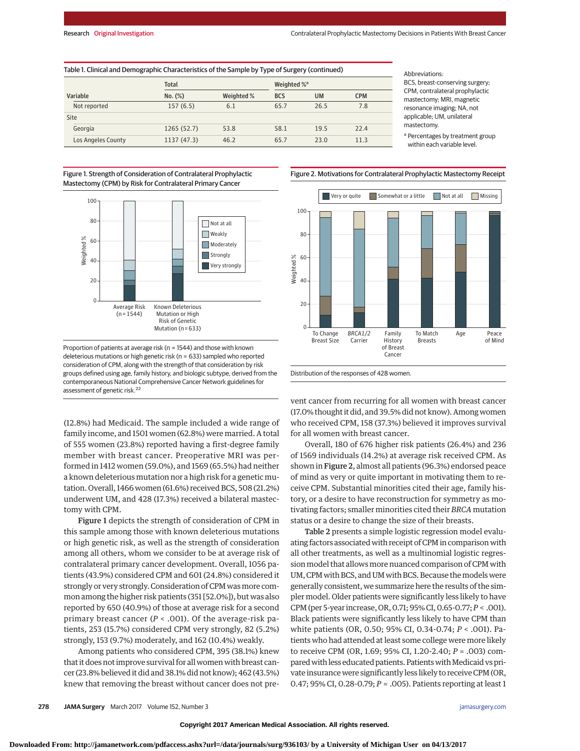| Table 1. Clinical and Demographic Characteristics of the Sample by Type of Surgery (continued) |             |            |                         |                            |            | Abbreviations:                                                             |
|------------------------------------------------------------------------------------------------|-------------|------------|-------------------------|----------------------------|------------|----------------------------------------------------------------------------|
|                                                                                                | Total       |            | Weighted % <sup>a</sup> |                            |            | BCS, breast-conserving surgery;                                            |
| Variable                                                                                       | No. (%)     | Weighted % | <b>BCS</b>              | <b>UM</b>                  | <b>CPM</b> | CPM, contralateral prophylactic<br>mastectomy; MRI, magnetic               |
| Not reported                                                                                   | 157(6.5)    | 6.1        | 65.7                    | 26.5                       | 7.8        | resonance imaging; NA, not                                                 |
| Site                                                                                           |             |            |                         | applicable; UM, unilateral |            |                                                                            |
| Georgia                                                                                        | 1265 (52.7) | 53.8       | 58.1                    | 19.5                       | 22.4       | mastectomy.                                                                |
| Los Angeles County                                                                             | 1137(47.3)  | 46.2       | 65.7                    | 23.0                       | 11.3       | <sup>a</sup> Percentages by treatment group<br>within each variable level. |

Figure 1. Strength of Consideration of Contralateral Prophylactic Mastectomy (CPM) by Risk for Contralateral Primary Cancer



Proportion of patients at average risk (n = 1544) and those with known deleterious mutations or high genetic risk (n = 633) sampled who reported consideration of CPM, along with the strength of that consideration by risk groups defined using age, family history, and biologic subtype, derived from the contemporaneous National Comprehensive Cancer Network guidelines for assessment of genetic risk.<sup>22</sup>

(12.8%) had Medicaid. The sample included a wide range of family income, and 1501 women (62.8%) were married. A total of 555 women (23.8%) reported having a first-degree family member with breast cancer. Preoperative MRI was performed in 1412 women (59.0%), and 1569 (65.5%) had neither a known deleterious mutation nor a high risk for a genetic mutation. Overall, 1466 women (61.6%) received BCS, 508 (21.2%) underwent UM, and 428 (17.3%) received a bilateral mastectomy with CPM.

Figure 1 depicts the strength of consideration of CPM in this sample among those with known deleterious mutations or high genetic risk, as well as the strength of consideration among all others, whom we consider to be at average risk of contralateral primary cancer development. Overall, 1056 patients (43.9%) considered CPM and 601 (24.8%) considered it strongly or very strongly. Consideration of CPM was more common among the higher risk patients (351 [52.0%]), but was also reported by 650 (40.9%) of those at average risk for a second primary breast cancer (*P* < .001). Of the average-risk patients, 253 (15.7%) considered CPM very strongly, 82 (5.2%) strongly, 153 (9.7%) moderately, and 162 (10.4%) weakly.

Among patients who considered CPM, 395 (38.1%) knew that it does not improve survival for all women with breast cancer (23.8% believed it did and 38.1% did not know); 462 (43.5%) knew that removing the breast without cancer does not pre-



Figure 2. Motivations for Contralateral Prophylactic Mastectomy Receipt

Distribution of the responses of 428 women.

vent cancer from recurring for all women with breast cancer (17.0% thought it did, and 39.5% did not know). Among women who received CPM, 158 (37.3%) believed it improves survival for all women with breast cancer.

Overall, 180 of 676 higher risk patients (26.4%) and 236 of 1569 individuals (14.2%) at average risk received CPM. As shown in Figure 2, almost all patients (96.3%) endorsed peace of mind as very or quite important in motivating them to receive CPM. Substantial minorities cited their age, family history, or a desire to have reconstruction for symmetry as motivating factors; smaller minorities cited their *BRCA* mutation status or a desire to change the size of their breasts.

Table 2 presents a simple logistic regression model evaluating factors associated with receipt of CPM in comparison with all other treatments, as well as a multinomial logistic regression model that allows more nuanced comparison of CPM with UM, CPM with BCS, and UM with BCS. Because the models were generally consistent, we summarize here the results of the simpler model. Older patients were significantly less likely to have CPM (per 5-year increase, OR, 0.71; 95% CI, 0.65-0.77;*P* < .001). Black patients were significantly less likely to have CPM than white patients (OR, 0.50; 95% CI, 0.34-0.74; *P* < .001). Patients who had attended at least some college were more likely to receive CPM (OR, 1.69; 95% CI, 1.20-2.40; *P* = .003) compared with less educated patients. Patients with Medicaid vs private insurance were significantly less likely to receive CPM (OR, 0.47; 95% CI, 0.28-0.79; *P* = .005). Patients reporting at least 1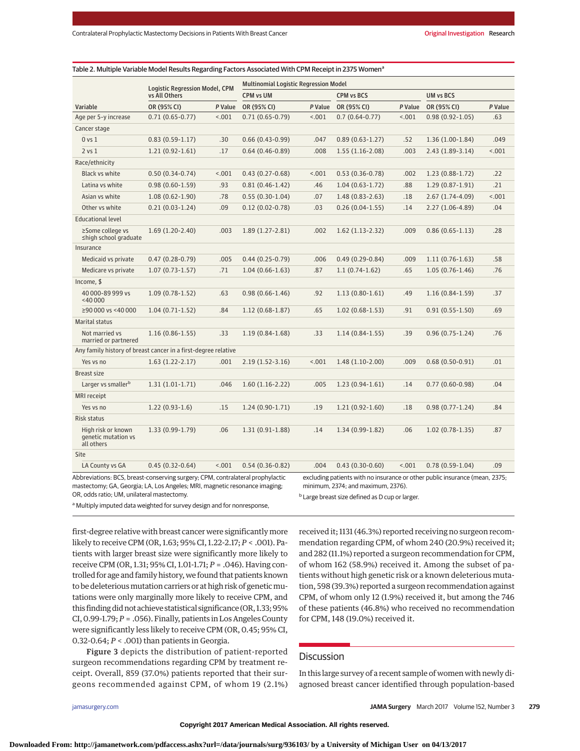| <b>Logistic Regression Model, CPM</b>                          |                     | <b>Multinomial Logistic Regression Model</b> |                     |         |                     |         |                     |         |
|----------------------------------------------------------------|---------------------|----------------------------------------------|---------------------|---------|---------------------|---------|---------------------|---------|
|                                                                | vs All Others       |                                              | <b>CPM vs UM</b>    |         | <b>CPM vs BCS</b>   |         | <b>UM vs BCS</b>    |         |
| Variable                                                       | OR (95% CI)         | P Value                                      | OR (95% CI)         | P Value | OR (95% CI)         | P Value | OR (95% CI)         | P Value |
| Age per 5-y increase                                           | $0.71(0.65 - 0.77)$ | < .001                                       | $0.71(0.65 - 0.79)$ | < .001  | $0.7(0.64 - 0.77)$  | < .001  | $0.98(0.92 - 1.05)$ | .63     |
| Cancer stage                                                   |                     |                                              |                     |         |                     |         |                     |         |
| 0 <sub>vs</sub> 1                                              | $0.83(0.59-1.17)$   | .30                                          | $0.66(0.43-0.99)$   | .047    | $0.89(0.63 - 1.27)$ | .52     | $1.36(1.00-1.84)$   | .049    |
| $2$ vs $1$                                                     | $1.21(0.92 - 1.61)$ | .17                                          | $0.64(0.46-0.89)$   | .008    | $1.55(1.16-2.08)$   | .003    | $2.43(1.89-3.14)$   | < .001  |
| Race/ethnicity                                                 |                     |                                              |                     |         |                     |         |                     |         |
| <b>Black vs white</b>                                          | $0.50(0.34-0.74)$   | < .001                                       | $0.43(0.27-0.68)$   | < .001  | $0.53(0.36-0.78)$   | .002    | $1.23(0.88-1.72)$   | .22     |
| Latina vs white                                                | $0.98(0.60-1.59)$   | .93                                          | $0.81(0.46-1.42)$   | .46     | $1.04(0.63-1.72)$   | .88     | $1.29(0.87-1.91)$   | .21     |
| Asian vs white                                                 | $1.08(0.62 - 1.90)$ | .78                                          | $0.55(0.30-1.04)$   | .07     | $1.48(0.83 - 2.63)$ | .18     | $2.67(1.74-4.09)$   | < .001  |
| Other vs white                                                 | $0.21(0.03-1.24)$   | .09                                          | $0.12(0.02 - 0.78)$ | .03     | $0.26(0.04-1.55)$   | .14     | $2.27(1.06-4.89)$   | .04     |
| <b>Educational level</b>                                       |                     |                                              |                     |         |                     |         |                     |         |
| ≥Some college vs<br>≤high school graduate                      | $1.69(1.20-2.40)$   | .003                                         | $1.89(1.27-2.81)$   | .002    | $1.62(1.13-2.32)$   | .009    | $0.86(0.65-1.13)$   | .28     |
| Insurance                                                      |                     |                                              |                     |         |                     |         |                     |         |
| Medicaid vs private                                            | $0.47(0.28-0.79)$   | .005                                         | $0.44(0.25-0.79)$   | .006    | $0.49(0.29-0.84)$   | .009    | $1.11(0.76-1.63)$   | .58     |
| Medicare vs private                                            | $1.07(0.73-1.57)$   | .71                                          | $1.04(0.66 - 1.63)$ | .87     | $1.1(0.74-1.62)$    | .65     | $1.05(0.76-1.46)$   | .76     |
| Income, \$                                                     |                     |                                              |                     |         |                     |         |                     |         |
| 40 000-89 999 vs<br>$<$ 40 000                                 | $1.09(0.78-1.52)$   | .63                                          | $0.98(0.66 - 1.46)$ | .92     | $1.13(0.80-1.61)$   | .49     | $1.16(0.84-1.59)$   | .37     |
| ≥90 000 vs <40 000                                             | $1.04(0.71-1.52)$   | .84                                          | $1.12(0.68-1.87)$   | .65     | $1.02(0.68-1.53)$   | .91     | $0.91(0.55 - 1.50)$ | .69     |
| Marital status                                                 |                     |                                              |                     |         |                     |         |                     |         |
| Not married vs<br>married or partnered                         | $1.16(0.86-1.55)$   | .33                                          | $1.19(0.84-1.68)$   | .33     | $1.14(0.84-1.55)$   | .39     | $0.96(0.75-1.24)$   | .76     |
| Any family history of breast cancer in a first-degree relative |                     |                                              |                     |         |                     |         |                     |         |
| Yes ys no                                                      | $1.63(1.22-2.17)$   | .001                                         | $2.19(1.52-3.16)$   | < .001  | $1.48(1.10-2.00)$   | .009    | $0.68(0.50-0.91)$   | .01     |
| <b>Breast size</b>                                             |                     |                                              |                     |         |                     |         |                     |         |
| Larger vs smaller <sup>b</sup>                                 | $1.31(1.01-1.71)$   | .046                                         | $1.60(1.16-2.22)$   | .005    | $1.23(0.94-1.61)$   | .14     | $0.77(0.60-0.98)$   | .04     |
| <b>MRI</b> receipt                                             |                     |                                              |                     |         |                     |         |                     |         |
| Yes ys no                                                      | $1.22(0.93-1.6)$    | .15                                          | $1.24(0.90-1.71)$   | .19     | $1.21(0.92 - 1.60)$ | .18     | $0.98(0.77-1.24)$   | .84     |
| Risk status                                                    |                     |                                              |                     |         |                     |         |                     |         |
| High risk or known<br>genetic mutation vs<br>all others        | $1.33(0.99-1.79)$   | .06                                          | $1.31(0.91-1.88)$   | .14     | $1.34(0.99-1.82)$   | .06     | $1.02(0.78-1.35)$   | .87     |
| Site                                                           |                     |                                              |                     |         |                     |         |                     |         |
| LA County vs GA                                                | $0.45(0.32-0.64)$   | < .001                                       | $0.54(0.36-0.82)$   | .004    | $0.43(0.30-0.60)$   | < .001  | $0.78(0.59-1.04)$   | .09     |
|                                                                |                     |                                              |                     |         |                     |         |                     |         |

#### Table 2. Multiple Variable Model Results Regarding Factors Associated With CPM Receipt in 2375 Women<sup>a</sup>

Abbreviations: BCS, breast-conserving surgery; CPM, contralateral prophylactic mastectomy; GA, Georgia; LA, Los Angeles; MRI, magnetic resonance imaging; OR, odds ratio; UM, unilateral mastectomy.

excluding patients with no insurance or other public insurance (mean, 2375; minimum, 2374; and maximum, 2376).

**b** Large breast size defined as D cup or larger.

<sup>a</sup> Multiply imputed data weighted for survey design and for nonresponse,

first-degree relative with breast cancer were significantlymore likely to receive CPM (OR, 1.63; 95% CI, 1.22-2.17; *P* < .001). Patients with larger breast size were significantly more likely to receive CPM (OR, 1.31; 95% CI, 1.01-1.71; *P* = .046). Having controlled for age and family history, we found that patients known to be deleterious mutation carriers or at high risk of genetic mutations were only marginally more likely to receive CPM, and this finding did not achieve statistical significance (OR, 1.33; 95% CI,  $0.99-1.79$ ;  $P = .056$ ). Finally, patients in Los Angeles County were significantly less likely to receive CPM (OR, 0.45; 95% CI, 0.32-0.64; *P* < .001) than patients in Georgia.

Figure 3 depicts the distribution of patient-reported surgeon recommendations regarding CPM by treatment receipt. Overall, 859 (37.0%) patients reported that their surgeons recommended against CPM, of whom 19 (2.1%) received it; 1131 (46.3%) reported receiving no surgeon recommendation regarding CPM, of whom 240 (20.9%) received it; and 282 (11.1%) reported a surgeon recommendation for CPM, of whom 162 (58.9%) received it. Among the subset of patients without high genetic risk or a known deleterious mutation, 598 (39.3%) reported a surgeon recommendation against CPM, of whom only 12 (1.9%) received it, but among the 746 of these patients (46.8%) who received no recommendation for CPM, 148 (19.0%) received it.

# Discussion

In this large survey of a recent sample of women with newly diagnosed breast cancer identified through population-based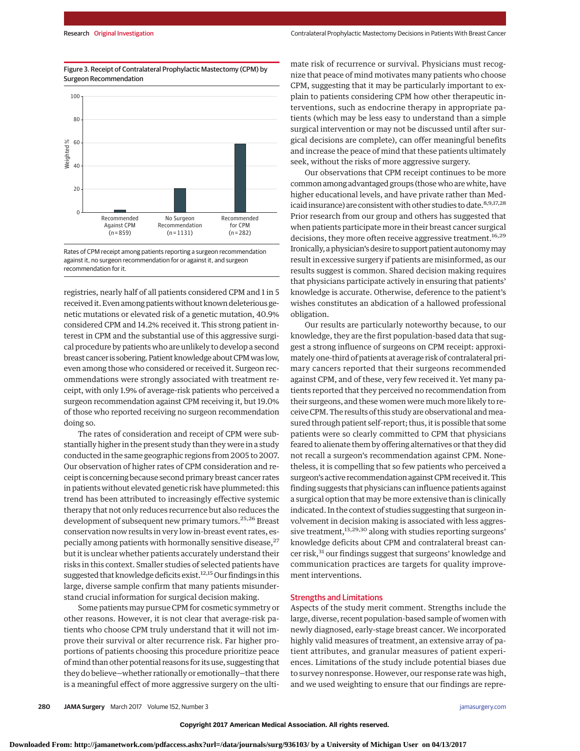

#### Figure 3. Receipt of Contralateral Prophylactic Mastectomy (CPM) by Surgeon Recommendation

Rates of CPM receipt among patients reporting a surgeon recommendation against it, no surgeon recommendation for or against it, and surgeon recommendation for it.

registries, nearly half of all patients considered CPM and 1 in 5 received it. Even among patients without known deleterious genetic mutations or elevated risk of a genetic mutation, 40.9% considered CPM and 14.2% received it. This strong patient interest in CPM and the substantial use of this aggressive surgical procedure by patients who are unlikely to develop a second breast cancer is sobering. Patient knowledge about CPM was low, even among those who considered or received it. Surgeon recommendations were strongly associated with treatment receipt, with only 1.9% of average-risk patients who perceived a surgeon recommendation against CPM receiving it, but 19.0% of those who reported receiving no surgeon recommendation doing so.

The rates of consideration and receipt of CPM were substantially higher in the present study than they were in a study conducted in the same geographic regions from 2005 to 2007. Our observation of higher rates of CPM consideration and receipt is concerning because second primary breast cancer rates in patients without elevated genetic risk have plummeted: this trend has been attributed to increasingly effective systemic therapy that not only reduces recurrence but also reduces the development of subsequent new primary tumors.<sup>25,26</sup> Breast conservation now results in very low in-breast event rates, especially among patients with hormonally sensitive disease, $27$ but it is unclear whether patients accurately understand their risks in this context. Smaller studies of selected patients have suggested that knowledge deficits exist.<sup>12,15</sup> Our findings in this large, diverse sample confirm that many patients misunderstand crucial information for surgical decision making.

Some patients may pursue CPM for cosmetic symmetry or other reasons. However, it is not clear that average-risk patients who choose CPM truly understand that it will not improve their survival or alter recurrence risk. Far higher proportions of patients choosing this procedure prioritize peace ofmind than other potential reasons for its use, suggesting that they do believe—whether rationally or emotionally—that there is a meaningful effect of more aggressive surgery on the ultimate risk of recurrence or survival. Physicians must recognize that peace of mind motivates many patients who choose CPM, suggesting that it may be particularly important to explain to patients considering CPM how other therapeutic interventions, such as endocrine therapy in appropriate patients (which may be less easy to understand than a simple surgical intervention or may not be discussed until after surgical decisions are complete), can offer meaningful benefits and increase the peace of mind that these patients ultimately seek, without the risks of more aggressive surgery.

Our observations that CPM receipt continues to be more common among advantaged groups (those who are white, have higher educational levels, and have private rather than Medicaid insurance) are consistent with other studies to date.<sup>8,9,17,28</sup> Prior research from our group and others has suggested that when patients participate more in their breast cancer surgical decisions, they more often receive aggressive treatment.<sup>16,29</sup> Ironically, a physician's desire to support patient autonomymay result in excessive surgery if patients are misinformed, as our results suggest is common. Shared decision making requires that physicians participate actively in ensuring that patients' knowledge is accurate. Otherwise, deference to the patient's wishes constitutes an abdication of a hallowed professional obligation.

Our results are particularly noteworthy because, to our knowledge, they are the first population-based data that suggest a strong influence of surgeons on CPM receipt: approximately one-third of patients at average risk of contralateral primary cancers reported that their surgeons recommended against CPM, and of these, very few received it. Yet many patients reported that they perceived no recommendation from their surgeons, and these women were much more likely to receive CPM. The results of this study are observational andmeasured through patient self-report; thus, it is possible that some patients were so clearly committed to CPM that physicians feared to alienate them by offering alternatives or that they did not recall a surgeon's recommendation against CPM. Nonetheless, it is compelling that so few patients who perceived a surgeon's active recommendation against CPM received it. This finding suggests that physicians can influence patients against a surgical option that may be more extensive than is clinically indicated. In the context of studies suggesting that surgeon involvement in decision making is associated with less aggressive treatment,<sup>13,29,30</sup> along with studies reporting surgeons' knowledge deficits about CPM and contralateral breast cancer risk,<sup>31</sup> our findings suggest that surgeons' knowledge and communication practices are targets for quality improvement interventions.

#### Strengths and Limitations

Aspects of the study merit comment. Strengths include the large, diverse, recent population-based sample of women with newly diagnosed, early-stage breast cancer. We incorporated highly valid measures of treatment, an extensive array of patient attributes, and granular measures of patient experiences. Limitations of the study include potential biases due to survey nonresponse. However, our response rate was high, and we used weighting to ensure that our findings are repre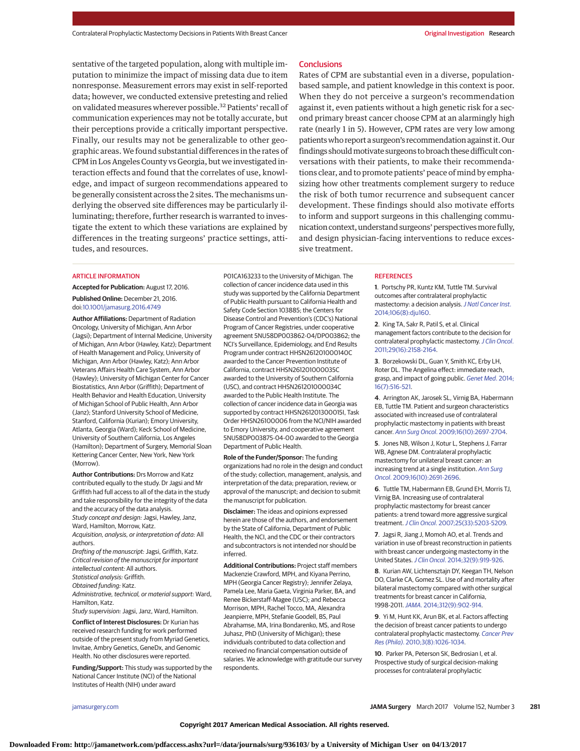sentative of the targeted population, along with multiple imputation to minimize the impact of missing data due to item nonresponse. Measurement errors may exist in self-reported data; however, we conducted extensive pretesting and relied on validated measures wherever possible.<sup>32</sup> Patients' recall of communication experiences may not be totally accurate, but their perceptions provide a critically important perspective. Finally, our results may not be generalizable to other geographic areas. We found substantial differences in the rates of CPM in Los Angeles County vs Georgia, but we investigated interaction effects and found that the correlates of use, knowledge, and impact of surgeon recommendations appeared to be generally consistent across the 2 sites. The mechanisms underlying the observed site differences may be particularly illuminating; therefore, further research is warranted to investigate the extent to which these variations are explained by differences in the treating surgeons' practice settings, attitudes, and resources.

#### **Conclusions**

Rates of CPM are substantial even in a diverse, populationbased sample, and patient knowledge in this context is poor. When they do not perceive a surgeon's recommendation against it, even patients without a high genetic risk for a second primary breast cancer choose CPM at an alarmingly high rate (nearly 1 in 5). However, CPM rates are very low among patientswho report a surgeon's recommendation against it. Our findings should motivate surgeons to broach these difficult conversations with their patients, to make their recommendations clear, and to promote patients' peace of mind by emphasizing how other treatments complement surgery to reduce the risk of both tumor recurrence and subsequent cancer development. These findings should also motivate efforts to inform and support surgeons in this challenging communication context, understand surgeons' perspectives more fully, and design physician-facing interventions to reduce excessive treatment.

#### ARTICLE INFORMATION

**Accepted for Publication:** August 17, 2016. **Published Online:** December 21, 2016. doi[:10.1001/jamasurg.2016.4749](http://jama.jamanetwork.com/article.aspx?doi=10.1001/jamasurg.2016.4749&utm_campaign=articlePDF%26utm_medium=articlePDFlink%26utm_source=articlePDF%26utm_content=jamasurg.2016.4749)

**Author Affiliations:** Department of Radiation Oncology, University of Michigan, Ann Arbor (Jagsi); Department of Internal Medicine, University of Michigan, Ann Arbor (Hawley, Katz); Department of Health Management and Policy, University of Michigan, Ann Arbor (Hawley, Katz); Ann Arbor Veterans Affairs Health Care System, Ann Arbor (Hawley); University of Michigan Center for Cancer Biostatistics, Ann Arbor (Griffith); Department of Health Behavior and Health Education, University of Michigan School of Public Health, Ann Arbor (Janz); Stanford University School of Medicine, Stanford, California (Kurian); Emory University, Atlanta, Georgia (Ward); Keck School of Medicine, University of Southern California, Los Angeles (Hamilton); Department of Surgery, Memorial Sloan Kettering Cancer Center, New York, New York (Morrow).

**Author Contributions:** Drs Morrow and Katz contributed equally to the study. Dr Jagsi and Mr Griffith had full access to all of the data in the study and take responsibility for the integrity of the data and the accuracy of the data analysis. Study concept and design: Jagsi, Hawley, Janz, Ward, Hamilton, Morrow, Katz.

Acquisition, analysis, or interpretation of data: All authors.

Drafting of the manuscript: Jagsi, Griffith, Katz. Critical revision of the manuscript for important intellectual content: All authors.

Statistical analysis: Griffith.

Obtained funding: Katz.

Administrative, technical, or material support: Ward, Hamilton, Katz.

Study supervision: Jagsi, Janz, Ward, Hamilton.

**Conflict of Interest Disclosures:** Dr Kurian has received research funding for work performed outside of the present study from Myriad Genetics, Invitae, Ambry Genetics, GeneDx, and Genomic Health. No other disclosures were reported.

**Funding/Support:** This study was supported by the National Cancer Institute (NCI) of the National Institutes of Health (NIH) under award

P01CA163233 to the University of Michigan. The collection of cancer incidence data used in this study was supported by the California Department of Public Health pursuant to California Health and Safety Code Section 103885; the Centers for Disease Control and Prevention's (CDC's) National Program of Cancer Registries, under cooperative agreement 5NU58DP003862-04/DP003862; the NCI's Surveillance, Epidemiology, and End Results Program under contract HHSN261201000140C awarded to the Cancer Prevention Institute of California, contract HHSN261201000035C awarded to the University of Southern California (USC), and contract HHSN261201000034C awarded to the Public Health Institute. The collection of cancer incidence data in Georgia was supported by contract HHSN261201300015I, Task Order HHSN26100006 from the NCI/NIH awarded to Emory University, and cooperative agreement 5NU58DP003875-04-00 awarded to the Georgia Department of Public Health.

**Role of the Funder/Sponsor:** The funding organizations had no role in the design and conduct of the study; collection, management, analysis, and interpretation of the data; preparation, review, or approval of the manuscript; and decision to submit the manuscript for publication.

**Disclaimer:** The ideas and opinions expressed herein are those of the authors, and endorsement by the State of California, Department of Public Health, the NCI, and the CDC or their contractors and subcontractors is not intended nor should be inferred.

**Additional Contributions:** Project staff members Mackenzie Crawford, MPH, and Kiyana Perrino, MPH (Georgia Cancer Registry); Jennifer Zelaya, Pamela Lee, Maria Gaeta, Virginia Parker, BA, and Renee Bickerstaff-Magee (USC); and Rebecca Morrison, MPH, Rachel Tocco, MA, Alexandra Jeanpierre, MPH, Stefanie Goodell, BS, Paul Abrahamse, MA, Irina Bondarenko, MS, and Rose Juhasz, PhD (University of Michigan); these individuals contributed to data collection and received no financial compensation outside of salaries. We acknowledge with gratitude our survey respondents.

#### **REFERENCES**

**1**. Portschy PR, Kuntz KM, Tuttle TM. Survival outcomes after contralateral prophylactic mastectomy: a decision analysis. [J Natl Cancer Inst](https://www.ncbi.nlm.nih.gov/pubmed/25031308). [2014;106\(8\):dju160.](https://www.ncbi.nlm.nih.gov/pubmed/25031308)

**2**. King TA, Sakr R, Patil S, et al. Clinical management factors contribute to the decision for contralateral prophylactic mastectomy. [J Clin Oncol](https://www.ncbi.nlm.nih.gov/pubmed/21464413). [2011;29\(16\):2158-2164.](https://www.ncbi.nlm.nih.gov/pubmed/21464413)

**3**. Borzekowski DL, Guan Y, Smith KC, Erby LH, Roter DL. The Angelina effect: immediate reach, grasp, and impact of going public. [Genet Med](https://www.ncbi.nlm.nih.gov/pubmed/24357847). 2014; [16\(7\):516-521.](https://www.ncbi.nlm.nih.gov/pubmed/24357847)

**4**. Arrington AK, Jarosek SL, Virnig BA, Habermann EB, Tuttle TM. Patient and surgeon characteristics associated with increased use of contralateral prophylactic mastectomy in patients with breast cancer. Ann Surg Oncol[. 2009;16\(10\):2697-2704.](https://www.ncbi.nlm.nih.gov/pubmed/19653045)

**5**. Jones NB, Wilson J, Kotur L, Stephens J, Farrar WB, Agnese DM. Contralateral prophylactic mastectomy for unilateral breast cancer: an increasing trend at a single institution. [Ann Surg](https://www.ncbi.nlm.nih.gov/pubmed/19506956) Oncol[. 2009;16\(10\):2691-2696.](https://www.ncbi.nlm.nih.gov/pubmed/19506956)

**6**. Tuttle TM, Habermann EB, Grund EH, Morris TJ, Virnig BA. Increasing use of contralateral prophylactic mastectomy for breast cancer patients: a trend toward more aggressive surgical treatment.J Clin Oncol[. 2007;25\(33\):5203-5209.](https://www.ncbi.nlm.nih.gov/pubmed/17954711)

**7**. Jagsi R, Jiang J, Momoh AO, et al. Trends and variation in use of breast reconstruction in patients with breast cancer undergoing mastectomy in the United States.J Clin Oncol[. 2014;32\(9\):919-926.](https://www.ncbi.nlm.nih.gov/pubmed/24550418)

**8**. Kurian AW, Lichtensztajn DY, Keegan TH, Nelson DO, Clarke CA, Gomez SL. Use of and mortality after bilateral mastectomy compared with other surgical treatments for breast cancer in California, 1998-2011.JAMA[. 2014;312\(9\):902-914.](https://www.ncbi.nlm.nih.gov/pubmed/25182099)

**9**. Yi M, Hunt KK, Arun BK, et al. Factors affecting the decision of breast cancer patients to undergo contralateral prophylactic mastectomy. [Cancer Prev](https://www.ncbi.nlm.nih.gov/pubmed/20647335) Res (Phila)[. 2010;3\(8\):1026-1034.](https://www.ncbi.nlm.nih.gov/pubmed/20647335)

**10**. Parker PA, Peterson SK, Bedrosian I, et al. Prospective study of surgical decision-making processes for contralateral prophylactic